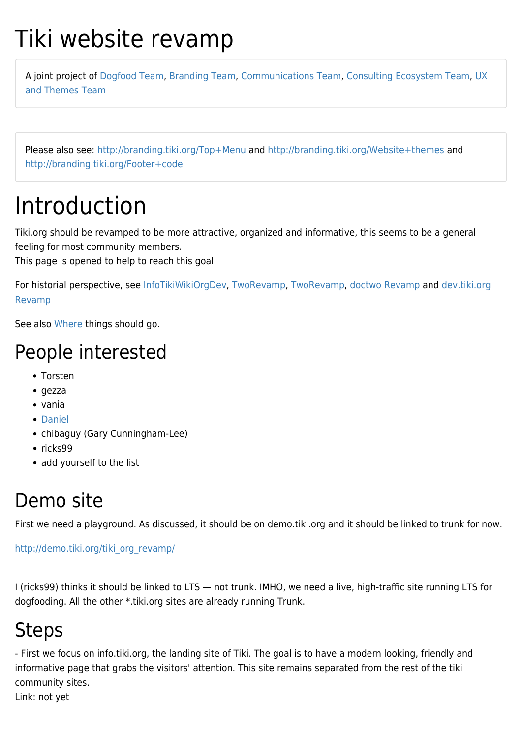# Tiki website revamp

A joint project of [Dogfood Team,](https://tiki.org/Dogfood-Team) [Branding Team,](https://tiki.org/Branding-Team) [Communications Team](https://tiki.org/Communications-Team), [Consulting Ecosystem Team,](https://tiki.org/Consulting-Ecosystem-Team) [UX](https://tiki.org/UX-and-Themes-Team) [and Themes Team](https://tiki.org/UX-and-Themes-Team)

Please also see:<http://branding.tiki.org/Top+Menu>and <http://branding.tiki.org/Website+themes>and <http://branding.tiki.org/Footer+code>

# Introduction

Tiki.org should be revamped to be more attractive, organized and informative, this seems to be a general feeling for most community members.

This page is opened to help to reach this goal.

For historial perspective, see [InfoTikiWikiOrgDev](https://tiki.org/InfoTikiWikiOrgDev), [TwoRevamp,](https://tiki.org/TwoRevamp) [TwoRevamp,](http://dev.tiki.org/TwoRevamp) [doctwo Revamp](https://tiki.org/doctwo-Revamp) and [dev.tiki.org](http://dev.tiki.org/dev.tiki.org%20Revamp) [Revamp](http://dev.tiki.org/dev.tiki.org%20Revamp)

See also [Where](https://tiki.org/Where) things should go.

### People interested

- Torsten
- $\bullet$  gezza
- vania
- [Daniel](https://tiki.org/UserPagedaniam)
- chibaguy (Gary Cunningham-Lee)
- $\cdot$  ricks99
- add yourself to the list

## Demo site

First we need a playground. As discussed, it should be on demo.tiki.org and it should be linked to trunk for now.

[http://demo.tiki.org/tiki\\_org\\_revamp/](http://demo.tiki.org/tiki_org_revamp/)

I (ricks99) thinks it should be linked to LTS — not trunk. IMHO, we need a live, high-traffic site running LTS for dogfooding. All the other \*.tiki.org sites are already running Trunk.

# **Steps**

- First we focus on info.tiki.org, the landing site of Tiki. The goal is to have a modern looking, friendly and informative page that grabs the visitors' attention. This site remains separated from the rest of the tiki community sites.

Link: not yet